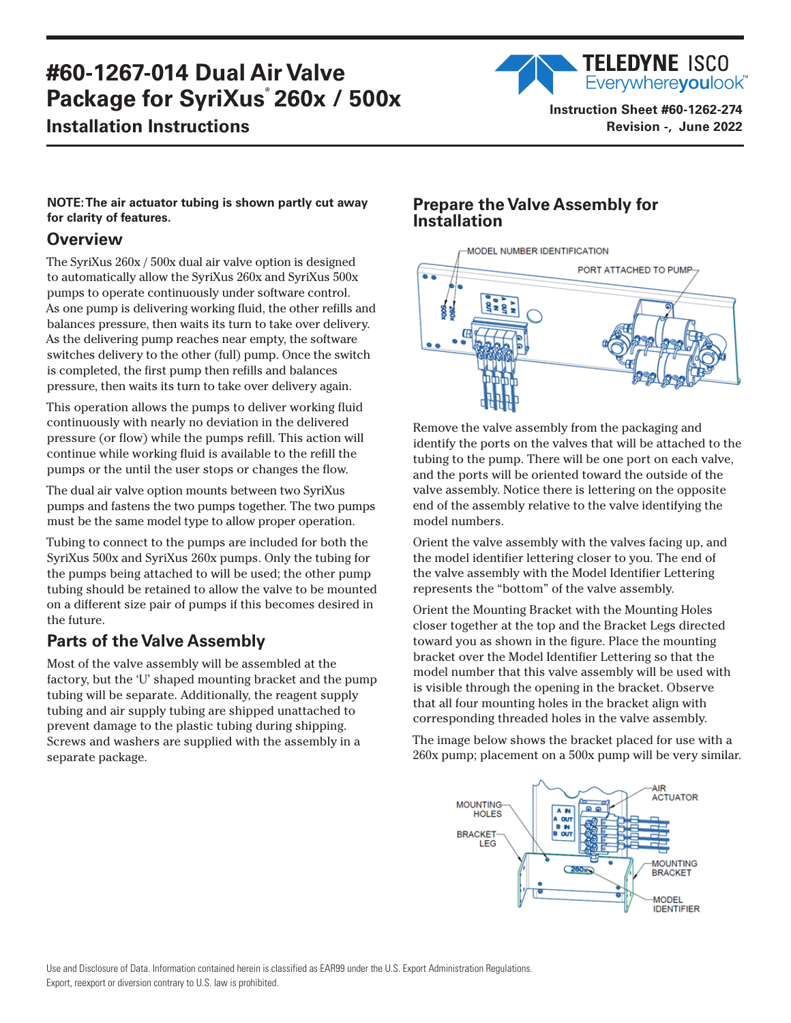# **#60-1267-014 Dual Air Valve Package for SyriXus**®  **260x / 500x**

## **Installation Instructions**

Everywhereyoulook<sup>"</sup> **Instruction Sheet #60-1262-274 Revision -, June 2022**

**TELEDYNE ISCO** 

#### **NOTE: The air actuator tubing is shown partly cut away for clarity of features.**

### **Overview**

The SyriXus 260x / 500x dual air valve option is designed to automatically allow the SyriXus 260x and SyriXus 500x pumps to operate continuously under software control. As one pump is delivering working fluid, the other refills and balances pressure, then waits its turn to take over delivery. As the delivering pump reaches near empty, the software switches delivery to the other (full) pump. Once the switch is completed, the first pump then refills and balances pressure, then waits its turn to take over delivery again.

This operation allows the pumps to deliver working fluid continuously with nearly no deviation in the delivered pressure (or flow) while the pumps refill. This action will continue while working fluid is available to the refill the pumps or the until the user stops or changes the flow.

The dual air valve option mounts between two SyriXus pumps and fastens the two pumps together. The two pumps must be the same model type to allow proper operation.

Tubing to connect to the pumps are included for both the SyriXus 500x and SyriXus 260x pumps. Only the tubing for the pumps being attached to will be used; the other pump tubing should be retained to allow the valve to be mounted on a different size pair of pumps if this becomes desired in the future.

## **Parts of the Valve Assembly**

Most of the valve assembly will be assembled at the factory, but the 'U' shaped mounting bracket and the pump tubing will be separate. Additionally, the reagent supply tubing and air supply tubing are shipped unattached to prevent damage to the plastic tubing during shipping. Screws and washers are supplied with the assembly in a separate package.

## **Prepare the Valve Assembly for Installation**



Remove the valve assembly from the packaging and identify the ports on the valves that will be attached to the tubing to the pump. There will be one port on each valve, and the ports will be oriented toward the outside of the valve assembly. Notice there is lettering on the opposite end of the assembly relative to the valve identifying the model numbers.

Orient the valve assembly with the valves facing up, and the model identifier lettering closer to you. The end of the valve assembly with the Model Identifier Lettering represents the "bottom" of the valve assembly.

Orient the Mounting Bracket with the Mounting Holes closer together at the top and the Bracket Legs directed toward you as shown in the figure. Place the mounting bracket over the Model Identifier Lettering so that the model number that this valve assembly will be used with is visible through the opening in the bracket. Observe that all four mounting holes in the bracket align with corresponding threaded holes in the valve assembly.

The image below shows the bracket placed for use with a 260x pump; placement on a 500x pump will be very similar.

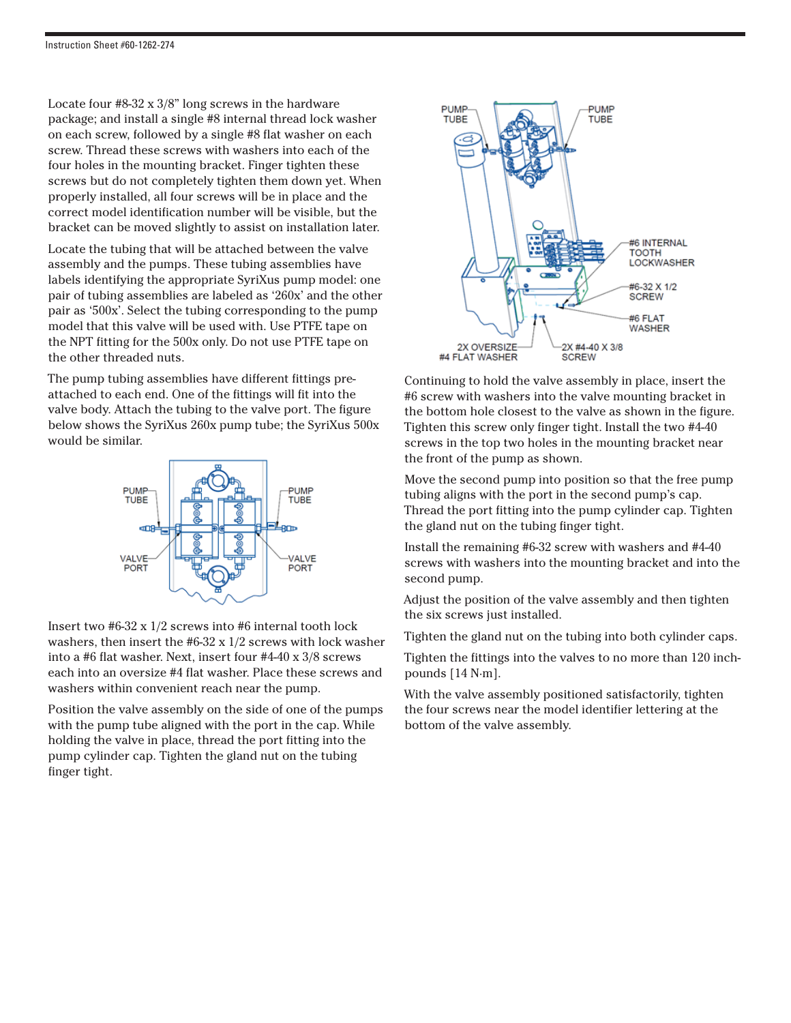Locate four #8-32 x 3/8" long screws in the hardware package; and install a single #8 internal thread lock washer on each screw, followed by a single #8 flat washer on each screw. Thread these screws with washers into each of the four holes in the mounting bracket. Finger tighten these screws but do not completely tighten them down yet. When properly installed, all four screws will be in place and the correct model identification number will be visible, but the bracket can be moved slightly to assist on installation later.

Locate the tubing that will be attached between the valve assembly and the pumps. These tubing assemblies have labels identifying the appropriate SyriXus pump model: one pair of tubing assemblies are labeled as '260x' and the other pair as '500x'. Select the tubing corresponding to the pump model that this valve will be used with. Use PTFE tape on the NPT fitting for the 500x only. Do not use PTFE tape on the other threaded nuts.

The pump tubing assemblies have different fittings preattached to each end. One of the fittings will fit into the valve body. Attach the tubing to the valve port. The figure below shows the SyriXus 260x pump tube; the SyriXus 500x would be similar.



Insert two #6-32 x 1/2 screws into #6 internal tooth lock washers, then insert the #6-32 x 1/2 screws with lock washer into a #6 flat washer. Next, insert four #4-40 x 3/8 screws each into an oversize #4 flat washer. Place these screws and washers within convenient reach near the pump.

Position the valve assembly on the side of one of the pumps with the pump tube aligned with the port in the cap. While holding the valve in place, thread the port fitting into the pump cylinder cap. Tighten the gland nut on the tubing finger tight.



Continuing to hold the valve assembly in place, insert the #6 screw with washers into the valve mounting bracket in the bottom hole closest to the valve as shown in the figure. Tighten this screw only finger tight. Install the two #4-40 screws in the top two holes in the mounting bracket near the front of the pump as shown.

Move the second pump into position so that the free pump tubing aligns with the port in the second pump's cap. Thread the port fitting into the pump cylinder cap. Tighten the gland nut on the tubing finger tight.

Install the remaining #6-32 screw with washers and #4-40 screws with washers into the mounting bracket and into the second pump.

Adjust the position of the valve assembly and then tighten the six screws just installed.

Tighten the gland nut on the tubing into both cylinder caps.

Tighten the fittings into the valves to no more than 120 inchpounds [14 N·m].

With the valve assembly positioned satisfactorily, tighten the four screws near the model identifier lettering at the bottom of the valve assembly.